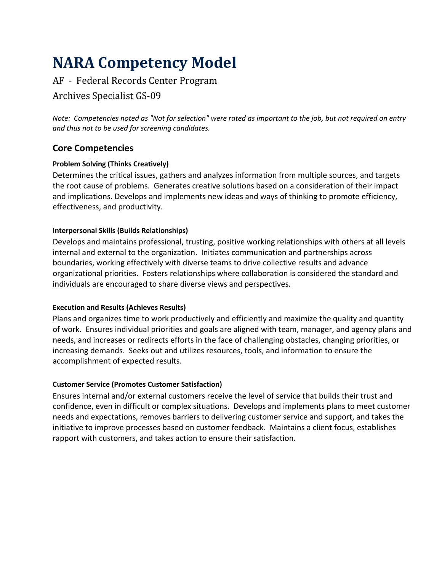# **NARA Competency Model**

# AF - Federal Records Center Program

## Archives Specialist GS-09

*Note: Competencies noted as "Not for selection" were rated as important to the job, but not required on entry and thus not to be used for screening candidates.*

## **Core Competencies**

## **Problem Solving (Thinks Creatively)**

Determines the critical issues, gathers and analyzes information from multiple sources, and targets the root cause of problems. Generates creative solutions based on a consideration of their impact and implications. Develops and implements new ideas and ways of thinking to promote efficiency, effectiveness, and productivity.

## **Interpersonal Skills (Builds Relationships)**

Develops and maintains professional, trusting, positive working relationships with others at all levels internal and external to the organization. Initiates communication and partnerships across boundaries, working effectively with diverse teams to drive collective results and advance organizational priorities. Fosters relationships where collaboration is considered the standard and individuals are encouraged to share diverse views and perspectives.

## **Execution and Results (Achieves Results)**

Plans and organizes time to work productively and efficiently and maximize the quality and quantity of work. Ensures individual priorities and goals are aligned with team, manager, and agency plans and needs, and increases or redirects efforts in the face of challenging obstacles, changing priorities, or increasing demands. Seeks out and utilizes resources, tools, and information to ensure the accomplishment of expected results.

## **Customer Service (Promotes Customer Satisfaction)**

Ensures internal and/or external customers receive the level of service that builds their trust and confidence, even in difficult or complex situations. Develops and implements plans to meet customer needs and expectations, removes barriers to delivering customer service and support, and takes the initiative to improve processes based on customer feedback. Maintains a client focus, establishes rapport with customers, and takes action to ensure their satisfaction.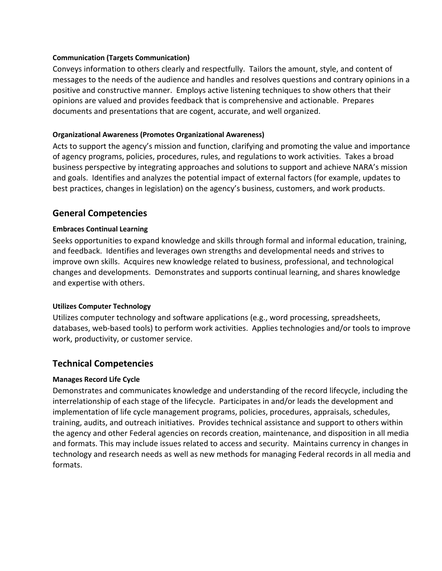#### **Communication (Targets Communication)**

Conveys information to others clearly and respectfully. Tailors the amount, style, and content of messages to the needs of the audience and handles and resolves questions and contrary opinions in a positive and constructive manner. Employs active listening techniques to show others that their opinions are valued and provides feedback that is comprehensive and actionable. Prepares documents and presentations that are cogent, accurate, and well organized.

## **Organizational Awareness (Promotes Organizational Awareness)**

Acts to support the agency's mission and function, clarifying and promoting the value and importance of agency programs, policies, procedures, rules, and regulations to work activities. Takes a broad business perspective by integrating approaches and solutions to support and achieve NARA's mission and goals. Identifies and analyzes the potential impact of external factors (for example, updates to best practices, changes in legislation) on the agency's business, customers, and work products.

## **General Competencies**

## **Embraces Continual Learning**

Seeks opportunities to expand knowledge and skills through formal and informal education, training, and feedback. Identifies and leverages own strengths and developmental needs and strives to improve own skills. Acquires new knowledge related to business, professional, and technological changes and developments. Demonstrates and supports continual learning, and shares knowledge and expertise with others.

## **Utilizes Computer Technology**

Utilizes computer technology and software applications (e.g., word processing, spreadsheets, databases, web-based tools) to perform work activities. Applies technologies and/or tools to improve work, productivity, or customer service.

## **Technical Competencies**

## **Manages Record Life Cycle**

Demonstrates and communicates knowledge and understanding of the record lifecycle, including the interrelationship of each stage of the lifecycle. Participates in and/or leads the development and implementation of life cycle management programs, policies, procedures, appraisals, schedules, training, audits, and outreach initiatives. Provides technical assistance and support to others within the agency and other Federal agencies on records creation, maintenance, and disposition in all media and formats. This may include issues related to access and security. Maintains currency in changes in technology and research needs as well as new methods for managing Federal records in all media and formats.